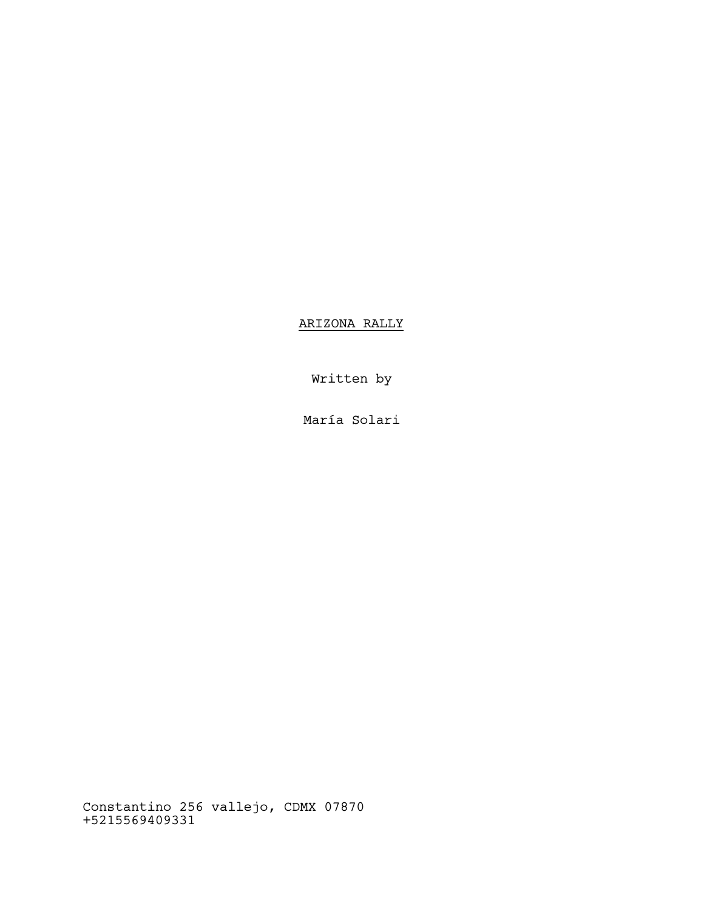ARIZONA RALLY

Written by

María Solari

Constantino 256 vallejo, CDMX 07870 +5215569409331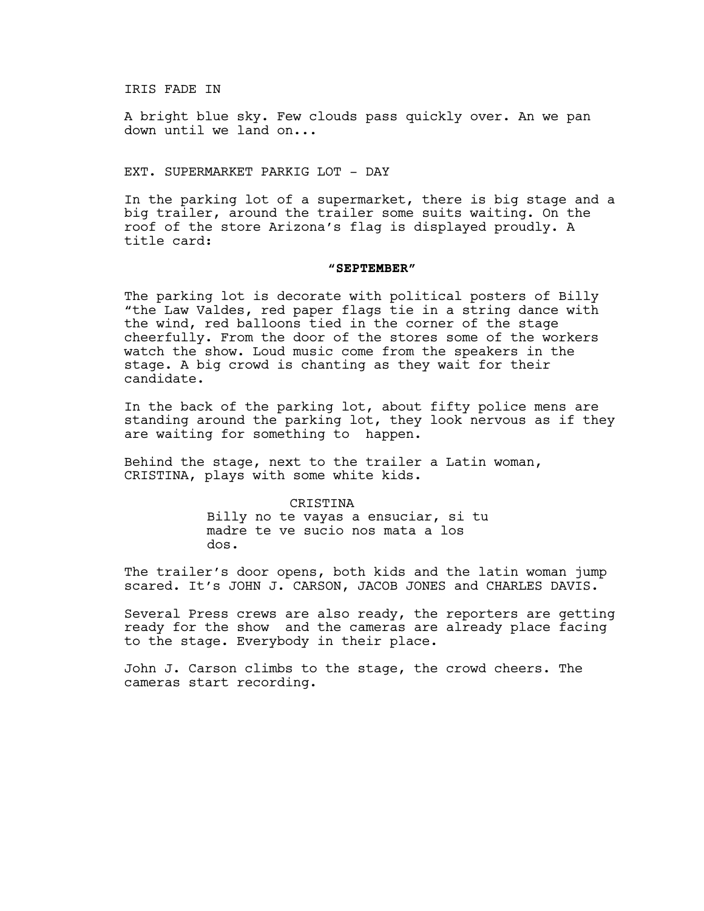IRIS FADE IN

A bright blue sky. Few clouds pass quickly over. An we pan down until we land on...

EXT. SUPERMARKET PARKIG LOT - DAY

In the parking lot of a supermarket, there is big stage and a big trailer, around the trailer some suits waiting. On the roof of the store Arizona's flag is displayed proudly. A title card:

## **"SEPTEMBER"**

The parking lot is decorate with political posters of Billy "the Law Valdes, red paper flags tie in a string dance with the wind, red balloons tied in the corner of the stage cheerfully. From the door of the stores some of the workers watch the show. Loud music come from the speakers in the stage. A big crowd is chanting as they wait for their candidate.

In the back of the parking lot, about fifty police mens are standing around the parking lot, they look nervous as if they are waiting for something to happen.

Behind the stage, next to the trailer a Latin woman, CRISTINA, plays with some white kids.

> CRISTINA Billy no te vayas a ensuciar, si tu madre te ve sucio nos mata a los dos.

The trailer's door opens, both kids and the latin woman jump scared. It's JOHN J. CARSON, JACOB JONES and CHARLES DAVIS.

Several Press crews are also ready, the reporters are getting ready for the show and the cameras are already place facing to the stage. Everybody in their place.

John J. Carson climbs to the stage, the crowd cheers. The cameras start recording.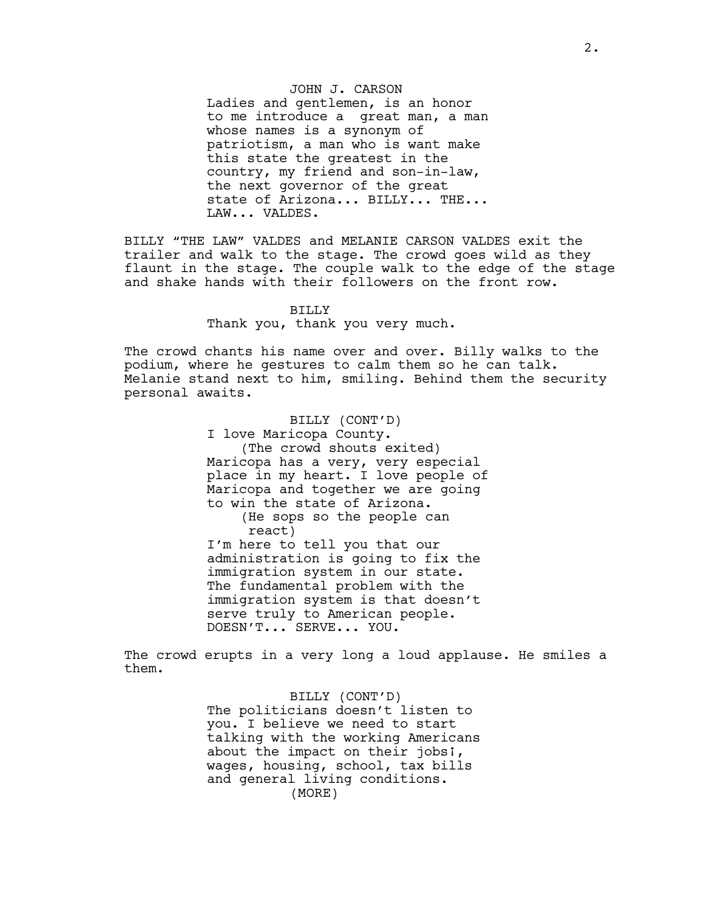JOHN J. CARSON

Ladies and gentlemen, is an honor to me introduce a great man, a man whose names is a synonym of patriotism, a man who is want make this state the greatest in the country, my friend and son-in-law, the next governor of the great state of Arizona... BILLY... THE... LAW... VALDES.

BILLY "THE LAW" VALDES and MELANIE CARSON VALDES exit the trailer and walk to the stage. The crowd goes wild as they flaunt in the stage. The couple walk to the edge of the stage and shake hands with their followers on the front row.

#### BILLY

Thank you, thank you very much.

The crowd chants his name over and over. Billy walks to the podium, where he gestures to calm them so he can talk. Melanie stand next to him, smiling. Behind them the security personal awaits.

> BILLY (CONT'D) I love Maricopa County. (The crowd shouts exited) Maricopa has a very, very especial place in my heart. I love people of Maricopa and together we are going to win the state of Arizona. (He sops so the people can react) I'm here to tell you that our administration is going to fix the immigration system in our state. The fundamental problem with the immigration system is that doesn't serve truly to American people. DOESN'T... SERVE... YOU.

The crowd erupts in a very long a loud applause. He smiles a them.

> BILLY (CONT'D) The politicians doesn't listen to you. I believe we need to start talking with the working Americans about the impact on their jobs;, wages, housing, school, tax bills and general living conditions. (MORE)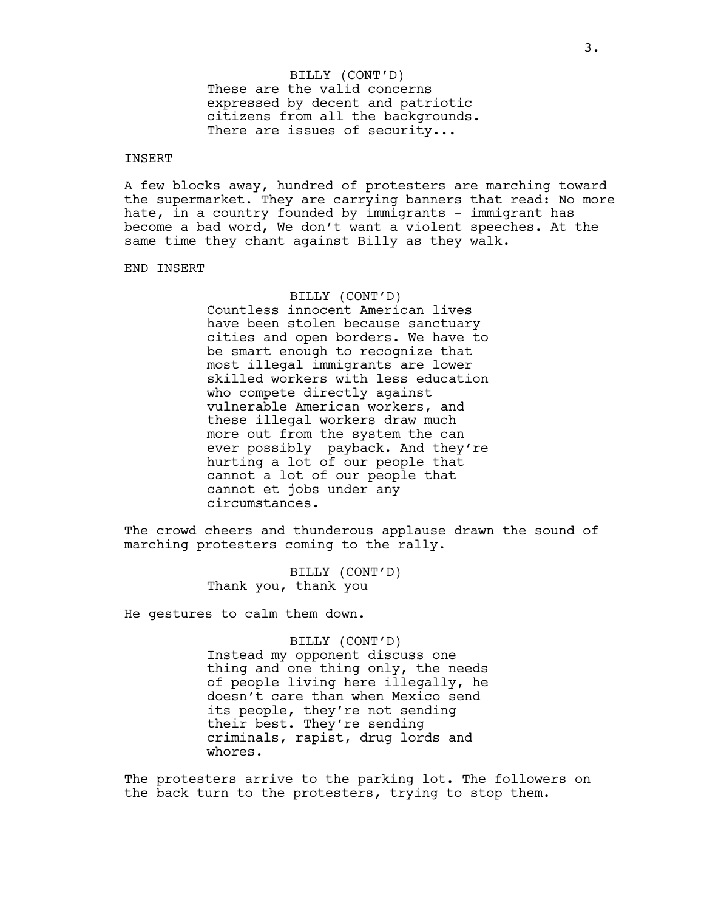# These are the valid concerns expressed by decent and patriotic citizens from all the backgrounds. There are issues of security... BILLY (CONT'D)

## INSERT

A few blocks away, hundred of protesters are marching toward the supermarket. They are carrying banners that read: No more hate, in a country founded by immigrants - immigrant has become a bad word, We don't want a violent speeches. At the same time they chant against Billy as they walk.

### END INSERT

### BILLY (CONT'D)

Countless innocent American lives have been stolen because sanctuary cities and open borders. We have to be smart enough to recognize that most illegal immigrants are lower skilled workers with less education who compete directly against vulnerable American workers, and these illegal workers draw much more out from the system the can ever possibly payback. And they're hurting a lot of our people that cannot a lot of our people that cannot et jobs under any circumstances.

The crowd cheers and thunderous applause drawn the sound of marching protesters coming to the rally.

> BILLY (CONT'D) Thank you, thank you

He gestures to calm them down.

### BILLY (CONT'D)

Instead my opponent discuss one thing and one thing only, the needs of people living here illegally, he doesn't care than when Mexico send its people, they're not sending their best. They're sending criminals, rapist, drug lords and whores.

The protesters arrive to the parking lot. The followers on the back turn to the protesters, trying to stop them.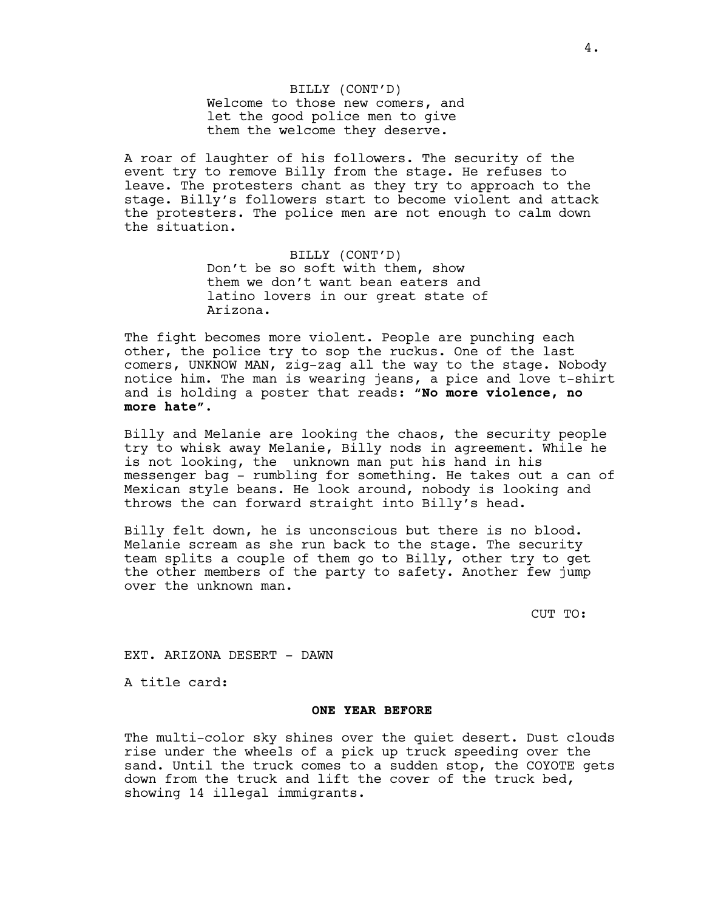BILLY (CONT'D) Welcome to those new comers, and let the good police men to give them the welcome they deserve.

A roar of laughter of his followers. The security of the event try to remove Billy from the stage. He refuses to leave. The protesters chant as they try to approach to the stage. Billy's followers start to become violent and attack the protesters. The police men are not enough to calm down the situation.

> BILLY (CONT'D) Don't be so soft with them, show them we don't want bean eaters and latino lovers in our great state of Arizona.

The fight becomes more violent. People are punching each other, the police try to sop the ruckus. One of the last comers, UNKNOW MAN, zig-zag all the way to the stage. Nobody notice him. The man is wearing jeans, a pice and love t-shirt and is holding a poster that reads: "**No more violence, no more hate".**

Billy and Melanie are looking the chaos, the security people try to whisk away Melanie, Billy nods in agreement. While he is not looking, the unknown man put his hand in his messenger bag - rumbling for something. He takes out a can of Mexican style beans. He look around, nobody is looking and throws the can forward straight into Billy's head.

Billy felt down, he is unconscious but there is no blood. Melanie scream as she run back to the stage. The security team splits a couple of them go to Billy, other try to get the other members of the party to safety. Another few jump over the unknown man.

CUT TO:

EXT. ARIZONA DESERT - DAWN

A title card:

#### **ONE YEAR BEFORE**

The multi-color sky shines over the quiet desert. Dust clouds rise under the wheels of a pick up truck speeding over the sand. Until the truck comes to a sudden stop, the COYOTE gets down from the truck and lift the cover of the truck bed, showing 14 illegal immigrants.